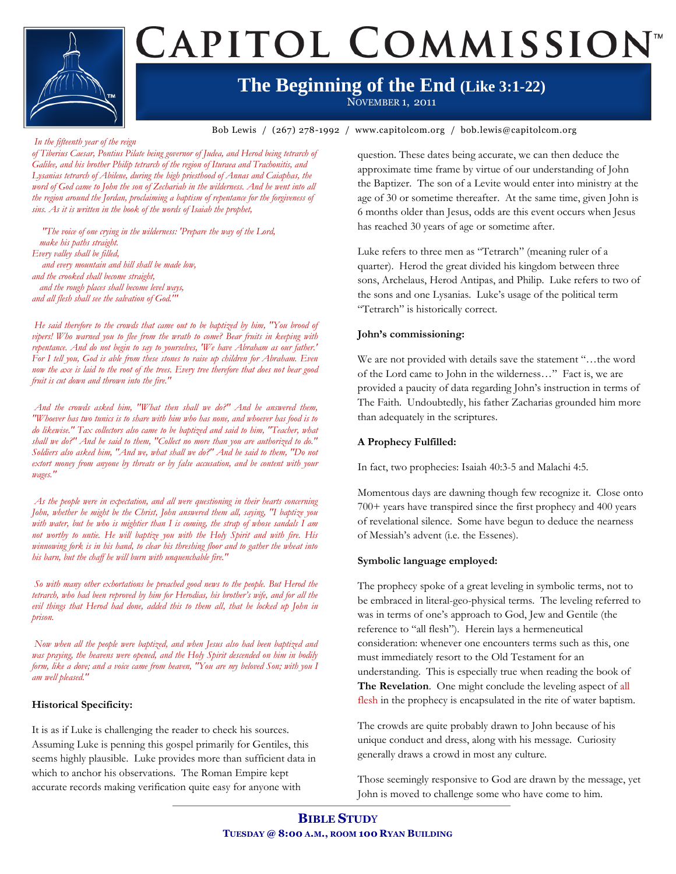# CAPITOL COMMISSION<sup>®</sup>

### **The Beginning of the End (Like 3:1-22)**

NOVEMBER 1, 2011

**Bible Study Title** Bob Lewis / (267) 278-1992 / www.capitolcom.org / bob.lewis@capitolcom.org

#### *In the fifteenth year of the reign*

*of Tiberius Caesar, Pontius Pilate being governor of Judea, and Herod being tetrarch of Galilee, and his brother Philip tetrarch of the region of Ituraea and Trachonitis, and Lysanias tetrarch of Abilene, during the high priesthood of Annas and Caiaphas, the word of God came to John the son of Zechariah in the wilderness. And he went into all the region around the Jordan, proclaiming a baptism of repentance for the forgiveness of sins. As it is written in the book of the words of Isaiah the prophet,*

 *"The voice of one crying in the wilderness: 'Prepare the way of the Lord, make his paths straight. Every valley shall be filled, and every mountain and hill shall be made low, and the crooked shall become straight, and the rough places shall become level ways, and all flesh shall see the salvation of God.'"*

*He said therefore to the crowds that came out to be baptized by him, "You brood of vipers! Who warned you to flee from the wrath to come? Bear fruits in keeping with repentance. And do not begin to say to yourselves, 'We have Abraham as our father.' For I tell you, God is able from these stones to raise up children for Abraham. Even now the axe is laid to the root of the trees. Every tree therefore that does not bear good fruit is cut down and thrown into the fire."*

*And the crowds asked him, "What then shall we do?" And he answered them, "Whoever has two tunics is to share with him who has none, and whoever has food is to do likewise." Tax collectors also came to be baptized and said to him, "Teacher, what shall we do?" And he said to them, "Collect no more than you are authorized to do." Soldiers also asked him, "And we, what shall we do?" And he said to them, "Do not*  extort money from anyone by threats or by false accusation, and be content with your *wages."*

*As the people were in expectation, and all were questioning in their hearts concerning John, whether he might be the Christ, John answered them all, saying, "I baptize you with water, but he who is mightier than I is coming, the strap of whose sandals I am not worthy to untie. He will baptize you with the Holy Spirit and with fire. His winnowing fork is in his hand, to clear his threshing floor and to gather the wheat into his barn, but the chaff he will burn with unquenchable fire."*

*So with many other exhortations he preached good news to the people. But Herod the tetrarch, who had been reproved by him for Herodias, his brother's wife, and for all the*  evil things that Herod had done, added this to them all, that he locked up John in *prison.*

*Now when all the people were baptized, and when Jesus also had been baptized and was praying, the heavens were opened, and the Holy Spirit descended on him in bodily form, like a dove; and a voice came from heaven, "You are my beloved Son; with you I am well pleased."*

#### **Historical Specificity:**

It is as if Luke is challenging the reader to check his sources. Assuming Luke is penning this gospel primarily for Gentiles, this seems highly plausible. Luke provides more than sufficient data in which to anchor his observations. The Roman Empire kept accurate records making verification quite easy for anyone with

question. These dates being accurate, we can then deduce the approximate time frame by virtue of our understanding of John the Baptizer. The son of a Levite would enter into ministry at the age of 30 or sometime thereafter. At the same time, given John is 6 months older than Jesus, odds are this event occurs when Jesus has reached 30 years of age or sometime after.

Luke refers to three men as "Tetrarch" (meaning ruler of a quarter). Herod the great divided his kingdom between three sons, Archelaus, Herod Antipas, and Philip. Luke refers to two of the sons and one Lysanias. Luke's usage of the political term "Tetrarch" is historically correct.

#### **John's commissioning:**

We are not provided with details save the statement "…the word of the Lord came to John in the wilderness…" Fact is, we are provided a paucity of data regarding John's instruction in terms of The Faith. Undoubtedly, his father Zacharias grounded him more than adequately in the scriptures.

#### **A Prophecy Fulfilled:**

In fact, two prophecies: Isaiah 40:3-5 and Malachi 4:5.

Momentous days are dawning though few recognize it. Close onto 700+ years have transpired since the first prophecy and 400 years of revelational silence. Some have begun to deduce the nearness of Messiah's advent (i.e. the Essenes).

#### **Symbolic language employed:**

The prophecy spoke of a great leveling in symbolic terms, not to be embraced in literal-geo-physical terms. The leveling referred to was in terms of one's approach to God, Jew and Gentile (the reference to "all flesh"). Herein lays a hermeneutical consideration: whenever one encounters terms such as this, one must immediately resort to the Old Testament for an understanding. This is especially true when reading the book of **The Revelation**. One might conclude the leveling aspect of all flesh in the prophecy is encapsulated in the rite of water baptism.

The crowds are quite probably drawn to John because of his unique conduct and dress, along with his message. Curiosity generally draws a crowd in most any culture.

Those seemingly responsive to God are drawn by the message, yet John is moved to challenge some who have come to him.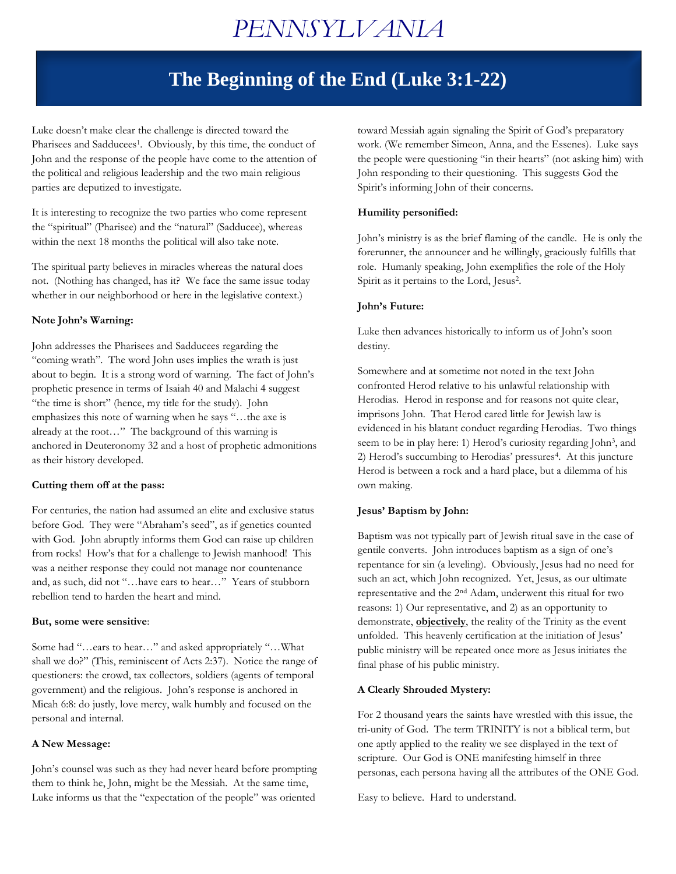## *PENNSYLVANIA*

### **The Beginning of the End (Luke 3:1-22)**

Luke doesn't make clear the challenge is directed toward the Pharisees and Sadducees<sup>1</sup>. Obviously, by this time, the conduct of John and the response of the people have come to the attention of the political and religious leadership and the two main religious parties are deputized to investigate.

It is interesting to recognize the two parties who come represent the "spiritual" (Pharisee) and the "natural" (Sadducee), whereas within the next 18 months the political will also take note.

The spiritual party believes in miracles whereas the natural does not. (Nothing has changed, has it? We face the same issue today whether in our neighborhood or here in the legislative context.)

#### **Note John's Warning:**

John addresses the Pharisees and Sadducees regarding the "coming wrath". The word John uses implies the wrath is just about to begin. It is a strong word of warning. The fact of John's prophetic presence in terms of Isaiah 40 and Malachi 4 suggest "the time is short" (hence, my title for the study). John emphasizes this note of warning when he says "…the axe is already at the root…" The background of this warning is anchored in Deuteronomy 32 and a host of prophetic admonitions as their history developed.

#### **Cutting them off at the pass:**

For centuries, the nation had assumed an elite and exclusive status before God. They were "Abraham's seed", as if genetics counted with God. John abruptly informs them God can raise up children from rocks! How's that for a challenge to Jewish manhood! This was a neither response they could not manage nor countenance and, as such, did not "…have ears to hear…" Years of stubborn rebellion tend to harden the heart and mind.

#### **But, some were sensitive**:

Some had "…ears to hear…" and asked appropriately "…What shall we do?" (This, reminiscent of Acts 2:37). Notice the range of questioners: the crowd, tax collectors, soldiers (agents of temporal government) and the religious. John's response is anchored in Micah 6:8: do justly, love mercy, walk humbly and focused on the personal and internal.

#### **A New Message:**

John's counsel was such as they had never heard before prompting them to think he, John, might be the Messiah. At the same time, Luke informs us that the "expectation of the people" was oriented

toward Messiah again signaling the Spirit of God's preparatory work. (We remember Simeon, Anna, and the Essenes). Luke says the people were questioning "in their hearts" (not asking him) with John responding to their questioning. This suggests God the Spirit's informing John of their concerns.

### **Humility personified:**

John's ministry is as the brief flaming of the candle. He is only the forerunner, the announcer and he willingly, graciously fulfills that role. Humanly speaking, John exemplifies the role of the Holy Spirit as it pertains to the Lord, Jesus<sup>2</sup>.

#### **John's Future:**

Luke then advances historically to inform us of John's soon destiny.

Somewhere and at sometime not noted in the text John confronted Herod relative to his unlawful relationship with Herodias. Herod in response and for reasons not quite clear, imprisons John. That Herod cared little for Jewish law is evidenced in his blatant conduct regarding Herodias. Two things seem to be in play here: 1) Herod's curiosity regarding John<sup>3</sup>, and 2) Herod's succumbing to Herodias' pressures<sup>4</sup>. At this juncture Herod is between a rock and a hard place, but a dilemma of his own making.

#### **Jesus' Baptism by John:**

Baptism was not typically part of Jewish ritual save in the case of gentile converts. John introduces baptism as a sign of one's repentance for sin (a leveling). Obviously, Jesus had no need for such an act, which John recognized. Yet, Jesus, as our ultimate representative and the 2nd Adam, underwent this ritual for two reasons: 1) Our representative, and 2) as an opportunity to demonstrate, **objectively**, the reality of the Trinity as the event unfolded. This heavenly certification at the initiation of Jesus' public ministry will be repeated once more as Jesus initiates the final phase of his public ministry.

#### **A Clearly Shrouded Mystery:**

For 2 thousand years the saints have wrestled with this issue, the tri-unity of God. The term TRINITY is not a biblical term, but one aptly applied to the reality we see displayed in the text of scripture. Our God is ONE manifesting himself in three personas, each persona having all the attributes of the ONE God.

Easy to believe. Hard to understand.